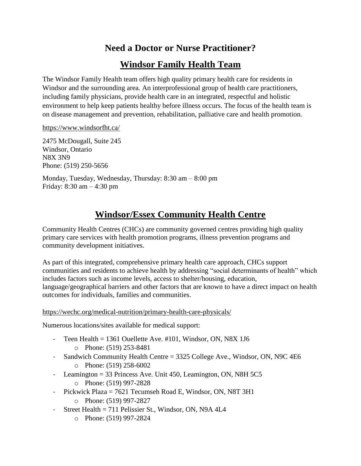## **Need a Doctor or Nurse Practitioner?**

### **Windsor Family Health Team**

The Windsor Family Health team offers high quality primary health care for residents in Windsor and the surrounding area. An interprofessional group of health care practitioners, including family physicians, provide health care in an integrated, respectful and holistic environment to help keep patients healthy before illness occurs. The focus of the health team is on disease management and prevention, rehabilitation, palliative care and health promotion.

<https://www.windsorfht.ca/>

2475 McDougall, Suite 245 Windsor, Ontario N8X 3N9 Phone: (519) 250-5656

Monday, Tuesday, Wednesday, Thursday: 8:30 am – 8:00 pm Friday: 8:30 am – 4:30 pm

# **Windsor/Essex Community Health Centre**

Community Health Centres (CHCs) are community governed centres providing high quality primary care services with health promotion programs, illness prevention programs and community development initiatives.

As part of this integrated, comprehensive primary health care approach, CHCs support communities and residents to achieve health by addressing "social determinants of health" which includes factors such as income levels, access to shelter/housing, education, language/geographical barriers and other factors that are known to have a direct impact on health outcomes for individuals, families and communities.

#### <https://wechc.org/medical-nutrition/primary-health-care-physicals/>

Numerous locations/sites available for medical support:

- Teen Health = 1361 Ouellette Ave. #101, Windsor, ON, N8X 1J6 o Phone: (519) 253-8481
- Sandwich Community Health Centre = 3325 College Ave., Windsor, ON, N9C 4E6
	- o Phone: (519) 258-6002
- Leamington = 33 Princess Ave. Unit 450, Leamington, ON, N8H 5C5
	- o Phone: (519) 997-2828
- Pickwick Plaza = 7621 Tecumseh Road E, Windsor, ON, N8T 3H1
	- o Phone: (519) 997-2827
- Street Health = 711 Pelissier St., Windsor, ON, N9A 4L4
	- o Phone: (519) 997-2824